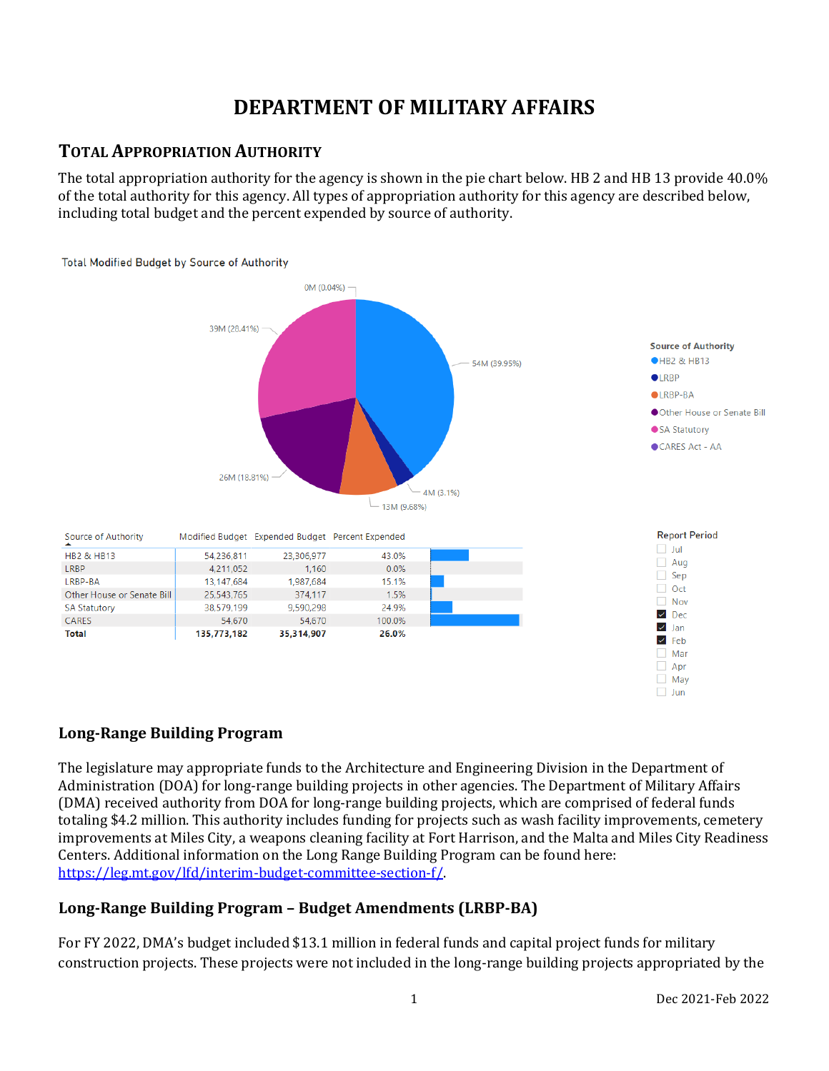# **DEPARTMENT OF MILITARY AFFAIRS**

# **TOTAL APPROPRIATION AUTHORITY**

The total appropriation authority for the agency is shown in the pie chart below. HB 2 and HB 13 provide 40.0% of the total authority for this agency. All types of appropriation authority for this agency are described below, including total budget and the percent expended by source of authority.



# **Long-Range Building Program**

The legislature may appropriate funds to the Architecture and Engineering Division in the Department of Administration (DOA) for long-range building projects in other agencies. The Department of Military Affairs (DMA) received authority from DOA for long-range building projects, which are comprised of federal funds totaling \$4.2 million. This authority includes funding for projects such as wash facility improvements, cemetery improvements at Miles City, a weapons cleaning facility at Fort Harrison, and the Malta and Miles City Readiness Centers. Additional information on the Long Range Building Program can be found here: [https://leg.mt.gov/lfd/interim-budget-committee-section-f/.](https://leg.mt.gov/lfd/interim-budget-committee-section-f/) 

# **Long-Range Building Program – Budget Amendments (LRBP-BA)**

For FY 2022, DMA's budget included \$13.1 million in federal funds and capital project funds for military construction projects. These projects were not included in the long-range building projects appropriated by the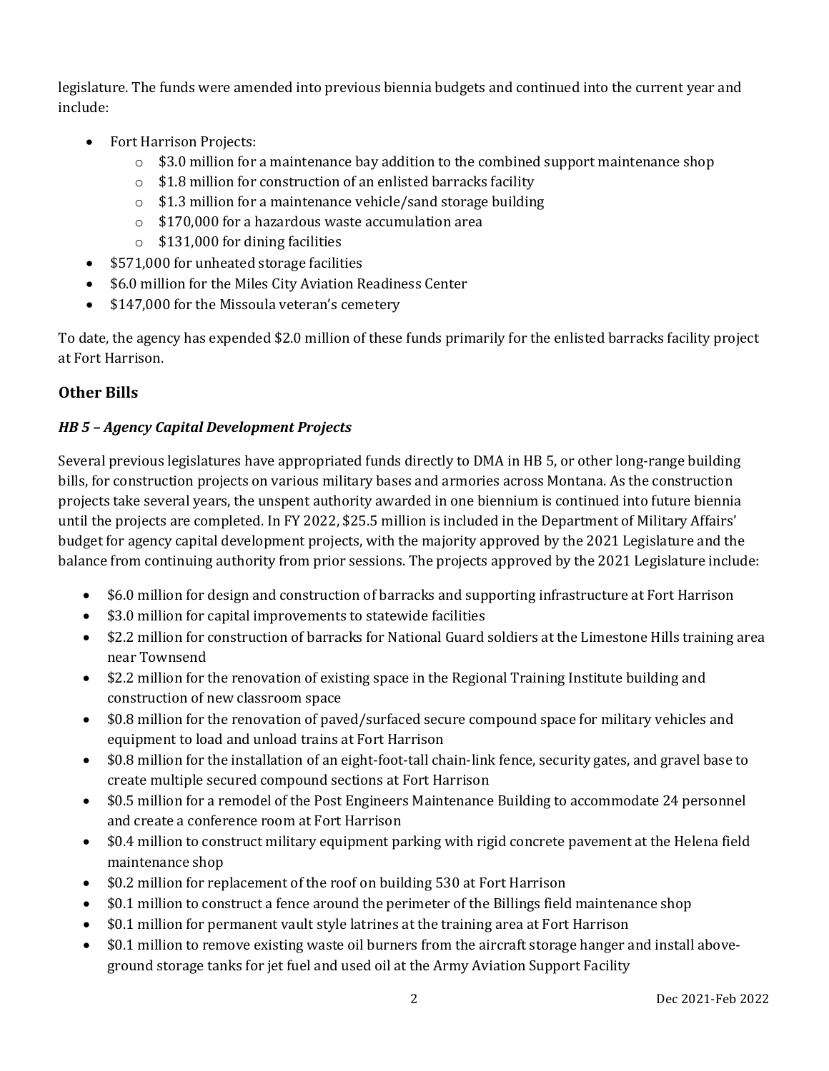legislature. The funds were amended into previous biennia budgets and continued into the current year and include:

- Fort Harrison Projects:
	- $\circ$  \$3.0 million for a maintenance bay addition to the combined support maintenance shop
	- o \$1.8 million for construction of an enlisted barracks facility
	- o \$1.3 million for a maintenance vehicle/sand storage building
	- o \$170,000 for a hazardous waste accumulation area
	- $\circ$  \$131,000 for dining facilities
- \$571,000 for unheated storage facilities
- \$6.0 million for the Miles City Aviation Readiness Center
- \$147,000 for the Missoula veteran's cemetery

To date, the agency has expended \$2.0 million of these funds primarily for the enlisted barracks facility project at Fort Harrison.

# **Other Bills**

## *HB 5 – Agency Capital Development Projects*

Several previous legislatures have appropriated funds directly to DMA in HB 5, or other long-range building bills, for construction projects on various military bases and armories across Montana. As the construction projects take several years, the unspent authority awarded in one biennium is continued into future biennia until the projects are completed. In FY 2022, \$25.5 million is included in the Department of Military Affairs' budget for agency capital development projects, with the majority approved by the 2021 Legislature and the balance from continuing authority from prior sessions. The projects approved by the 2021 Legislature include:

- \$6.0 million for design and construction of barracks and supporting infrastructure at Fort Harrison
- \$3.0 million for capital improvements to statewide facilities
- \$2.2 million for construction of barracks for National Guard soldiers at the Limestone Hills training area near Townsend
- \$2.2 million for the renovation of existing space in the Regional Training Institute building and construction of new classroom space
- \$0.8 million for the renovation of paved/surfaced secure compound space for military vehicles and equipment to load and unload trains at Fort Harrison
- \$0.8 million for the installation of an eight-foot-tall chain-link fence, security gates, and gravel base to create multiple secured compound sections at Fort Harrison
- \$0.5 million for a remodel of the Post Engineers Maintenance Building to accommodate 24 personnel and create a conference room at Fort Harrison
- \$0.4 million to construct military equipment parking with rigid concrete pavement at the Helena field maintenance shop
- \$0.2 million for replacement of the roof on building 530 at Fort Harrison
- \$0.1 million to construct a fence around the perimeter of the Billings field maintenance shop
- \$0.1 million for permanent vault style latrines at the training area at Fort Harrison
- \$0.1 million to remove existing waste oil burners from the aircraft storage hanger and install aboveground storage tanks for jet fuel and used oil at the Army Aviation Support Facility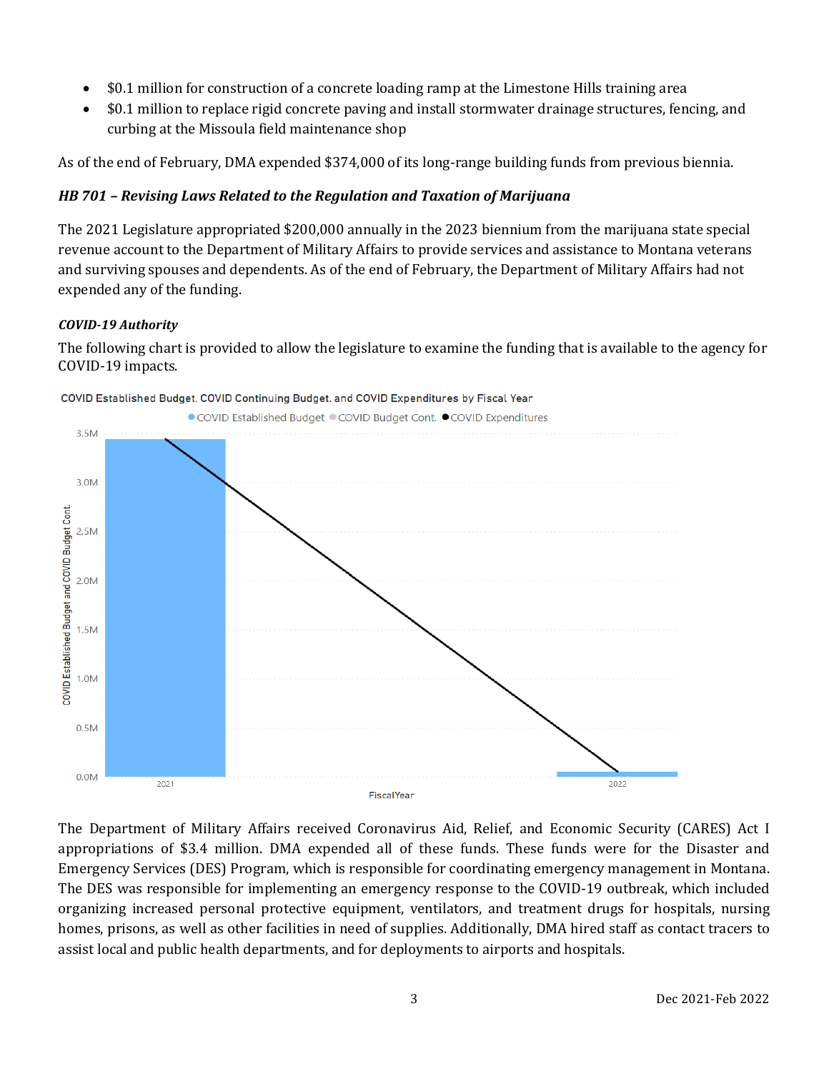- \$0.1 million for construction of a concrete loading ramp at the Limestone Hills training area
- \$0.1 million to replace rigid concrete paving and install stormwater drainage structures, fencing, and curbing at the Missoula field maintenance shop

As of the end of February, DMA expended \$374,000 of its long-range building funds from previous biennia.

#### *HB 701 – Revising Laws Related to the Regulation and Taxation of Marijuana*

The 2021 Legislature appropriated \$200,000 annually in the 2023 biennium from the marijuana state special revenue account to the Department of Military Affairs to provide services and assistance to Montana veterans and surviving spouses and dependents. As of the end of February, the Department of Military Affairs had not expended any of the funding.

#### *COVID-19 Authority*

The following chart is provided to allow the legislature to examine the funding that is available to the agency for COVID-19 impacts.



COVID Established Budget, COVID Continuing Budget, and COVID Expenditures by Fiscal Year

The Department of Military Affairs received Coronavirus Aid, Relief, and Economic Security (CARES) Act I appropriations of \$3.4 million. DMA expended all of these funds. These funds were for the Disaster and Emergency Services (DES) Program, which is responsible for coordinating emergency management in Montana. The DES was responsible for implementing an emergency response to the COVID-19 outbreak, which included organizing increased personal protective equipment, ventilators, and treatment drugs for hospitals, nursing homes, prisons, as well as other facilities in need of supplies. Additionally, DMA hired staff as contact tracers to assist local and public health departments, and for deployments to airports and hospitals.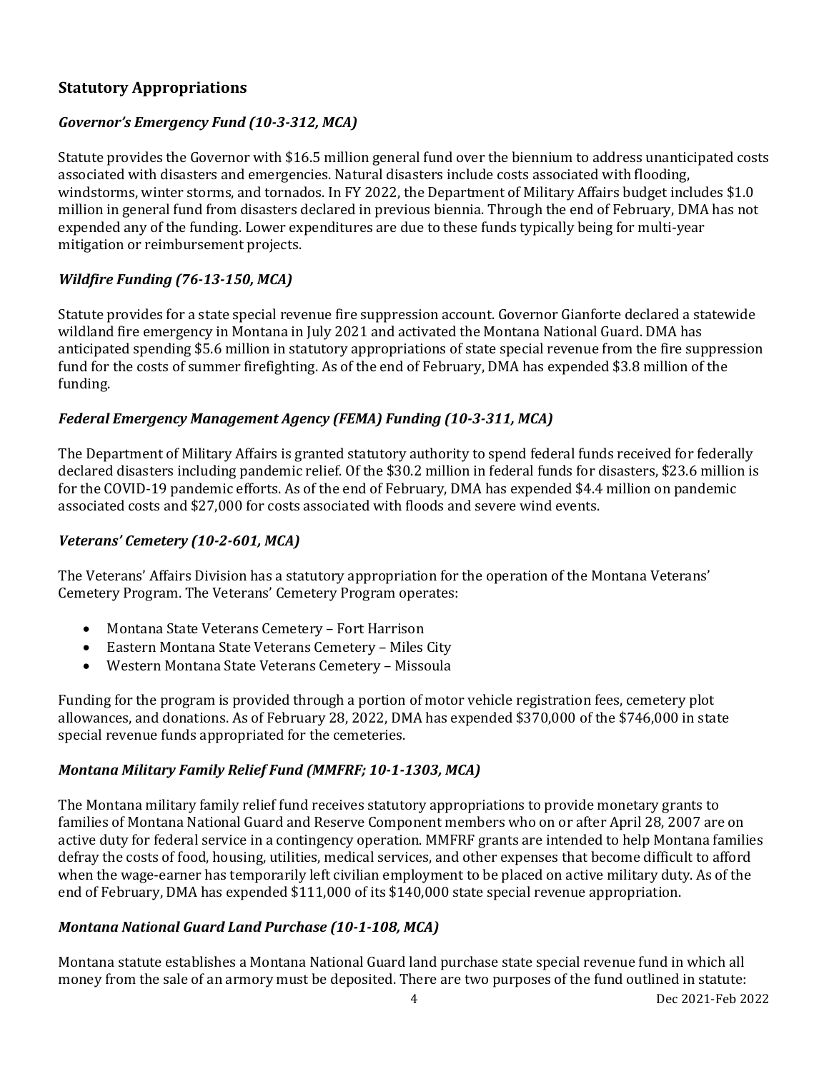### **Statutory Appropriations**

### *Governor's Emergency Fund (10-3-312, MCA)*

Statute provides the Governor with \$16.5 million general fund over the biennium to address unanticipated costs associated with disasters and emergencies. Natural disasters include costs associated with flooding, windstorms, winter storms, and tornados. In FY 2022, the Department of Military Affairs budget includes \$1.0 million in general fund from disasters declared in previous biennia. Through the end of February, DMA has not expended any of the funding. Lower expenditures are due to these funds typically being for multi-year mitigation or reimbursement projects.

#### *Wildfire Funding (76-13-150, MCA)*

Statute provides for a state special revenue fire suppression account. Governor Gianforte declared a statewide wildland fire emergency in Montana in July 2021 and activated the Montana National Guard. DMA has anticipated spending \$5.6 million in statutory appropriations of state special revenue from the fire suppression fund for the costs of summer firefighting. As of the end of February, DMA has expended \$3.8 million of the funding.

#### *Federal Emergency Management Agency (FEMA) Funding (10-3-311, MCA)*

The Department of Military Affairs is granted statutory authority to spend federal funds received for federally declared disasters including pandemic relief. Of the \$30.2 million in federal funds for disasters, \$23.6 million is for the COVID-19 pandemic efforts. As of the end of February, DMA has expended \$4.4 million on pandemic associated costs and \$27,000 for costs associated with floods and severe wind events.

#### *Veterans' Cemetery (10-2-601, MCA)*

The Veterans' Affairs Division has a statutory appropriation for the operation of the Montana Veterans' Cemetery Program. The Veterans' Cemetery Program operates:

- Montana State Veterans Cemetery Fort Harrison
- Eastern Montana State Veterans Cemetery Miles City
- Western Montana State Veterans Cemetery Missoula

Funding for the program is provided through a portion of motor vehicle registration fees, cemetery plot allowances, and donations. As of February 28, 2022, DMA has expended \$370,000 of the \$746,000 in state special revenue funds appropriated for the cemeteries.

#### *Montana Military Family Relief Fund (MMFRF; 10-1-1303, MCA)*

The Montana military family relief fund receives statutory appropriations to provide monetary grants to families of Montana National Guard and Reserve Component members who on or after April 28, 2007 are on active duty for federal service in a contingency operation. MMFRF grants are intended to help Montana families defray the costs of food, housing, utilities, medical services, and other expenses that become difficult to afford when the wage-earner has temporarily left civilian employment to be placed on active military duty. As of the end of February, DMA has expended \$111,000 of its \$140,000 state special revenue appropriation.

#### *Montana National Guard Land Purchase (10-1-108, MCA)*

Montana statute establishes a Montana National Guard land purchase state special revenue fund in which all money from the sale of an armory must be deposited. There are two purposes of the fund outlined in statute: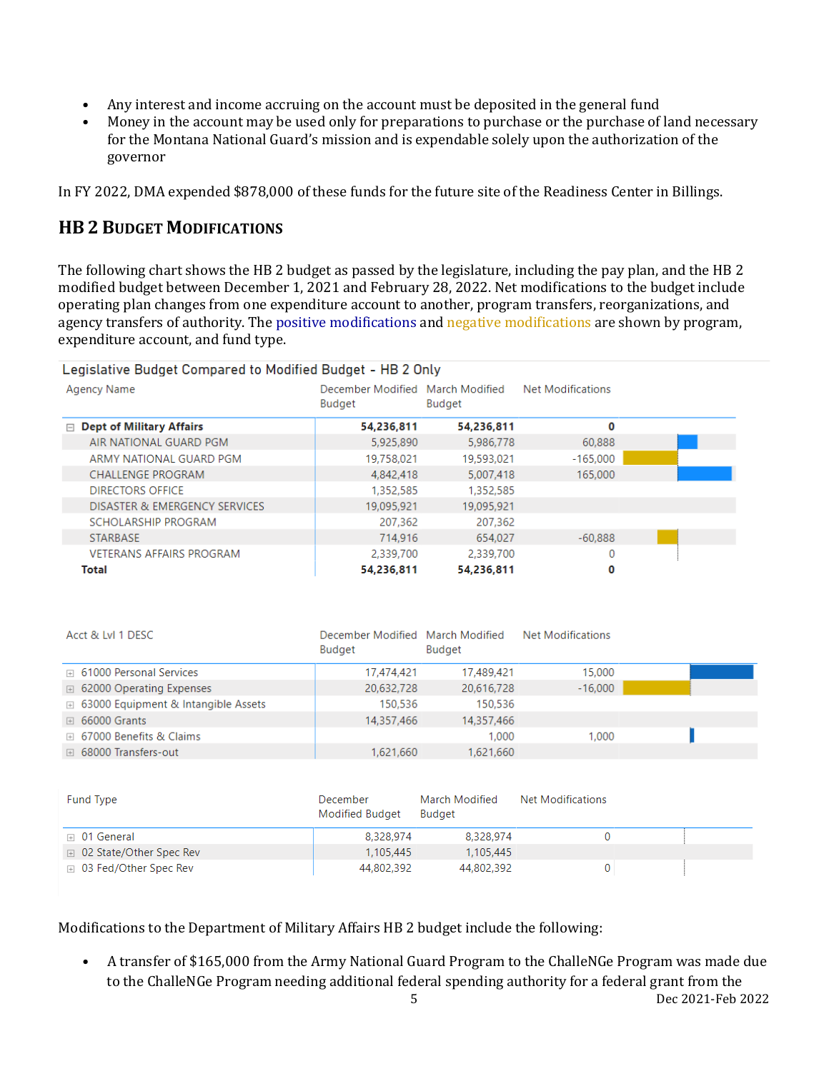- Any interest and income accruing on the account must be deposited in the general fund<br>• Money in the account may be used only for preparations to purchase or the purchase of
- Money in the account may be used only for preparations to purchase or the purchase of land necessary for the Montana National Guard's mission and is expendable solely upon the authorization of the governor

In FY 2022, DMA expended \$878,000 of these funds for the future site of the Readiness Center in Billings.

# **HB 2 BUDGET MODIFICATIONS**

The following chart shows the HB 2 budget as passed by the legislature, including the pay plan, and the HB 2 modified budget between December 1, 2021 and February 28, 2022. Net modifications to the budget include operating plan changes from one expenditure account to another, program transfers, reorganizations, and agency transfers of authority. The positive modifications and negative modifications are shown by program, expenditure account, and fund type.

#### Legislative Budget Compared to Modified Budget - HB 2 Only

| Agency Name                     | December Modified March Modified<br>Budget | Budget     | <b>Net Modifications</b> |  |
|---------------------------------|--------------------------------------------|------------|--------------------------|--|
| $\Box$ Dept of Military Affairs | 54,236,811                                 | 54,236,811 | 0                        |  |
| AIR NATIONAL GUARD PGM          | 5,925,890                                  | 5,986,778  | 60,888                   |  |
| ARMY NATIONAL GUARD PGM         | 19,758,021                                 | 19,593,021 | $-165,000$               |  |
| <b>CHALLENGE PROGRAM</b>        | 4,842,418                                  | 5,007,418  | 165,000                  |  |
| <b>DIRECTORS OFFICE</b>         | 1,352,585                                  | 1,352,585  |                          |  |
| DISASTER & EMERGENCY SERVICES   | 19,095,921                                 | 19,095,921 |                          |  |
| SCHOLARSHIP PROGRAM             | 207,362                                    | 207,362    |                          |  |
| <b>STARBASE</b>                 | 714,916                                    | 654,027    | $-60,888$                |  |
| <b>VETERANS AFFAIRS PROGRAM</b> | 2,339,700                                  | 2,339,700  | 0                        |  |
| Total                           | 54,236,811                                 | 54.236.811 | 0                        |  |

| Acct & Lvl 1 DESC                            | December Modified March Modified<br><b>Budget</b> | <b>Budget</b> | <b>Net Modifications</b> |  |
|----------------------------------------------|---------------------------------------------------|---------------|--------------------------|--|
| □ 61000 Personal Services                    | 17,474,421                                        | 17,489,421    | 15,000                   |  |
| □ 62000 Operating Expenses                   | 20,632,728                                        | 20,616,728    | $-16,000$                |  |
| <b>E</b> 63000 Equipment & Intangible Assets | 150,536                                           | 150.536       |                          |  |
| $\boxplus$ 66000 Grants                      | 14,357,466                                        | 14.357.466    |                          |  |
| □ 67000 Benefits & Claims                    |                                                   | 1.000         | 1.000                    |  |
| <b>E</b> 68000 Transfers-out                 | 1,621,660                                         | 1,621,660     |                          |  |

| Fund Type                      | December<br>Modified Budget | March Modified<br>Budget | Net Modifications |  |
|--------------------------------|-----------------------------|--------------------------|-------------------|--|
| $\boxplus$ 01 General          | 8.328.974                   | 8,328,974                |                   |  |
| □ 02 State/Other Spec Rev      | 1.105.445                   | 1.105.445                |                   |  |
| <b>E</b> 03 Fed/Other Spec Rev | 44,802,392                  | 44,802,392               |                   |  |

Modifications to the Department of Military Affairs HB 2 budget include the following:

5 Dec 2021-Feb 2022 • A transfer of \$165,000 from the Army National Guard Program to the ChalleNGe Program was made due to the ChalleNGe Program needing additional federal spending authority for a federal grant from the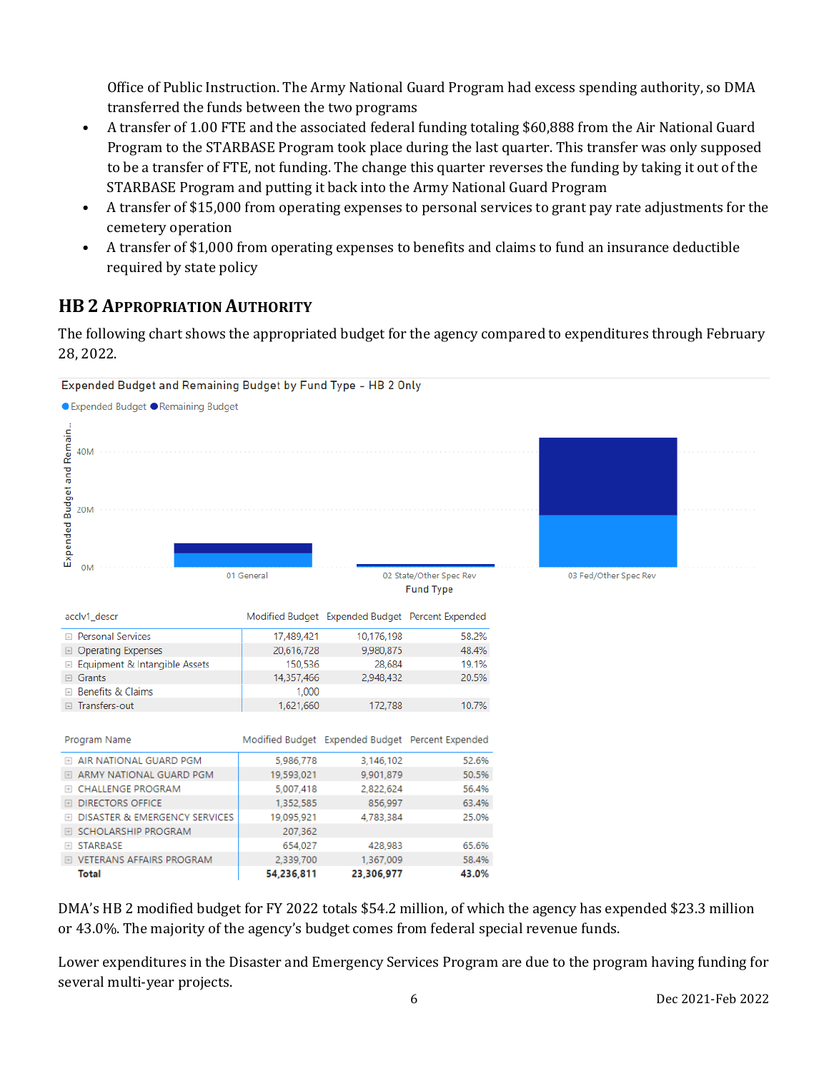Office of Public Instruction. The Army National Guard Program had excess spending authority, so DMA transferred the funds between the two programs

- A transfer of 1.00 FTE and the associated federal funding totaling \$60,888 from the Air National Guard Program to the STARBASE Program took place during the last quarter. This transfer was only supposed to be a transfer of FTE, not funding. The change this quarter reverses the funding by taking it out of the STARBASE Program and putting it back into the Army National Guard Program
- A transfer of \$15,000 from operating expenses to personal services to grant pay rate adjustments for the cemetery operation
- A transfer of \$1,000 from operating expenses to benefits and claims to fund an insurance deductible required by state policy

# **HB 2 APPROPRIATION AUTHORITY**

The following chart shows the appropriated budget for the agency compared to expenditures through February 28, 2022.



DMA's HB 2 modified budget for FY 2022 totals \$54.2 million, of which the agency has expended \$23.3 million or 43.0%. The majority of the agency's budget comes from federal special revenue funds.

Lower expenditures in the Disaster and Emergency Services Program are due to the program having funding for several multi-year projects.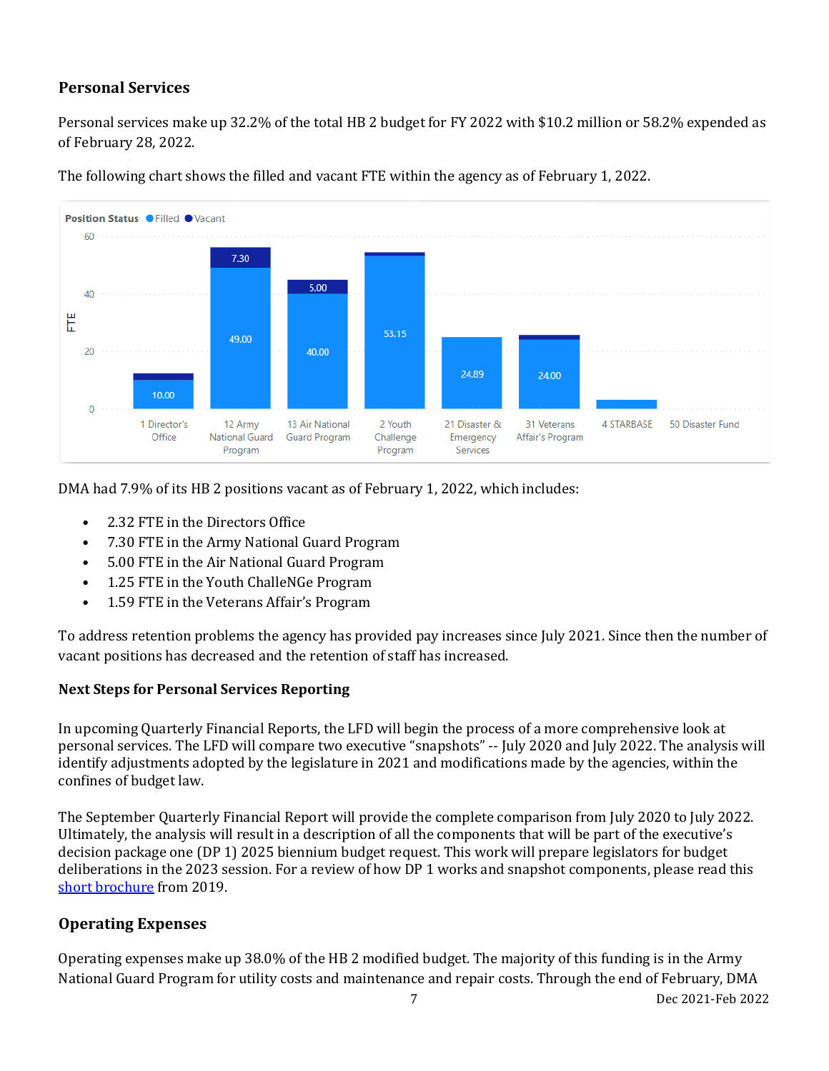# **Personal Services**

Personal services make up 32.2% of the total HB 2 budget for FY 2022 with \$10.2 million or 58.2% expended as of February 28, 2022.



The following chart shows the filled and vacant FTE within the agency as of February 1, 2022.

DMA had 7.9% of its HB 2 positions vacant as of February 1, 2022, which includes:

- 2.32 FTE in the Directors Office
- 7.30 FTE in the Army National Guard Program
- 5.00 FTE in the Air National Guard Program
- 1.25 FTE in the Youth ChalleNGe Program
- 1.59 FTE in the Veterans Affair's Program

To address retention problems the agency has provided pay increases since July 2021. Since then the number of vacant positions has decreased and the retention of staff has increased.

### **Next Steps for Personal Services Reporting**

In upcoming Quarterly Financial Reports, the LFD will begin the process of a more comprehensive look at personal services. The LFD will compare two executive "snapshots" -- July 2020 and July 2022. The analysis will identify adjustments adopted by the legislature in 2021 and modifications made by the agencies, within the confines of budget law.

The September Quarterly Financial Report will provide the complete comparison from July 2020 to July 2022. Ultimately, the analysis will result in a description of all the components that will be part of the executive's decision package one (DP 1) 2025 biennium budget request. This work will prepare legislators for budget deliberations in the 2023 session. For a review of how DP 1 works and snapshot components, please read this [short brochure](https://montana.maps.arcgis.com/apps/Cascade/index.html?appid=23095fcf15754f4fb38b63c58a884b97) from 2019.

### **Operating Expenses**

Operating expenses make up 38.0% of the HB 2 modified budget. The majority of this funding is in the Army National Guard Program for utility costs and maintenance and repair costs. Through the end of February, DMA